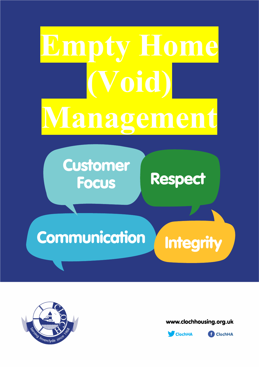# Empty Home (Void) **Managemen**

## Customer<br>Pocus Respect **Focus**

### Communication Integrity



www.clochhousing.org.uk



**D** ClochHA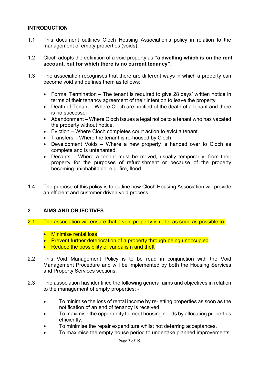#### **INTRODUCTION**

- 1.1 This document outlines Cloch Housing Association's policy in relation to the management of empty properties (voids).
- 1.2 Cloch adopts the definition of a void property as "a dwelling which is on the rent account, but for which there is no current tenancy".
- 1.3 The association recognises that there are different ways in which a property can become void and defines them as follows:
	- Formal Termination The tenant is required to give 28 days' written notice in terms of their tenancy agreement of their intention to leave the property
	- Death of Tenant Where Cloch are notified of the death of a tenant and there is no successor.
	- Abandonment Where Cloch issues a legal notice to a tenant who has vacated the property without notice.
	- Eviction Where Cloch completes court action to evict a tenant.
	- Transfers Where the tenant is re-housed by Cloch
	- Development Voids Where a new property is handed over to Cloch as complete and is untenanted.
	- Decants Where a tenant must be moved, usually temporarily, from their property for the purposes of refurbishment or because of the property becoming uninhabitable, e.g. fire, flood.
- 1.4 The purpose of this policy is to outline how Cloch Housing Association will provide an efficient and customer driven void process.

#### 2 AIMS AND OBJECTIVES

- 2.1 The association will ensure that a void property is re-let as soon as possible to:
	- Minimise rental loss
	- Prevent further deterioration of a property through being unoccupied
	- Reduce the possibility of vandalism and theft
- 2.2 This Void Management Policy is to be read in conjunction with the Void Management Procedure and will be implemented by both the Housing Services and Property Services sections.
- 2.3 The association has identified the following general aims and objectives in relation to the management of empty properties: -
	- To minimise the loss of rental income by re-letting properties as soon as the notification of an end of tenancy is received.
	- To maximise the opportunity to meet housing needs by allocating properties efficiently.
	- To minimise the repair expenditure whilst not deterring acceptances.
	- To maximise the empty house period to undertake planned improvements.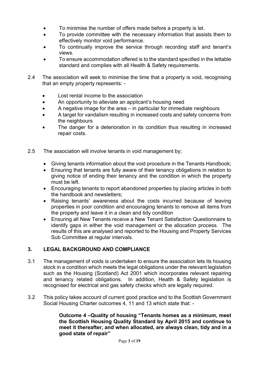- To minimise the number of offers made before a property is let.
- To provide committee with the necessary information that assists them to effectively monitor void performance.
- To continually improve the service through recording staff and tenant's views.
- To ensure accommodation offered is to the standard specified in the lettable standard and complies with all Health & Safety requirements.
- 2.4 The association will seek to minimise the time that a property is void, recognising that an empty property represents: -
	- Lost rental income to the association
	- An opportunity to alleviate an applicant's housing need
	- A negative image for the area in particular for immediate neighbours
	- A target for vandalism resulting in increased costs and safety concerns from the neighbours
	- The danger for a deterioration in its condition thus resulting in increased repair costs.
- 2.5 The association will involve tenants in void management by;
	- Giving tenants information about the void procedure in the Tenants Handbook;
	- Ensuring that tenants are fully aware of their tenancy obligations in relation to giving notice of ending their tenancy and the condition in which the property must be left.
	- Encouraging tenants to report abandoned properties by placing articles in both the handbook and newsletters;
	- Raising tenants' awareness about the costs incurred because of leaving properties in poor condition and encouraging tenants to remove all items from the property and leave it in a clean and tidy condition
	- Ensuring all New Tenants receive a New Tenant Satisfaction Questionnaire to identify gaps in either the void management or the allocation process. The results of this are analysed and reported to the Housing and Property Services Sub Committee at regular intervals.

#### 3. LEGAL BACKGROUND AND COMPLIANCE

- 3.1 The management of voids is undertaken to ensure the association lets its housing stock in a condition which meets the legal obligations under the relevant legislation such as the Housing (Scotland) Act 2001 which incorporates relevant repairing and tenancy related obligations. In addition, Health & Safety legislation is recognised for electrical and gas safety checks which are legally required.
- 3.2 This policy takes account of current good practice and to the Scottish Government Social Housing Charter outcomes 4, 11 and 13 which state that: -

Outcome 4 –Quality of housing "Tenants homes as a minimum, meet the Scottish Housing Quality Standard by April 2015 and continue to meet it thereafter, and when allocated, are always clean, tidy and in a good state of repair"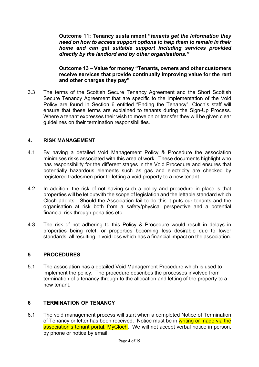Outcome 11: Tenancy sustainment "tenants get the information they need on how to access support options to help them to remain in their home and can get suitable support including services provided directly by the landlord and by other organisations."

Outcome 13 – Value for money "Tenants, owners and other customers receive services that provide continually improving value for the rent and other charges they pay"

3.3 The terms of the Scottish Secure Tenancy Agreement and the Short Scottish Secure Tenancy Agreement that are specific to the implementation of the Void Policy are found in Section 6 entitled "Ending the Tenancy". Cloch's staff will ensure that these terms are explained to tenants during the Sign-Up Process. Where a tenant expresses their wish to move on or transfer they will be given clear guidelines on their termination responsibilities.

#### 4. RISK MANAGEMENT

- 4.1 By having a detailed Void Management Policy & Procedure the association minimises risks associated with this area of work. These documents highlight who has responsibility for the different stages in the Void Procedure and ensures that potentially hazardous elements such as gas and electricity are checked by registered tradesmen prior to letting a void property to a new tenant.
- 4.2 In addition, the risk of not having such a policy and procedure in place is that properties will be let outwith the scope of legislation and the lettable standard which Cloch adopts. Should the Association fail to do this it puts our tenants and the organisation at risk both from a safety/physical perspective and a potential financial risk through penalties etc.
- 4.3 The risk of not adhering to this Policy & Procedure would result in delays in properties being relet, or properties becoming less desirable due to lower standards, all resulting in void loss which has a financial impact on the association.

#### 5 PROCEDURES

5.1 The association has a detailed Void Management Procedure which is used to implement the policy. The procedure describes the processes involved from termination of a tenancy through to the allocation and letting of the property to a new tenant.

#### 6 TERMINATION OF TENANCY

6.1 The void management process will start when a completed Notice of Termination of Tenancy or letter has been received. Notice must be in writing or made via the association's tenant portal, MyCloch. We will not accept verbal notice in person, by phone or notice by email.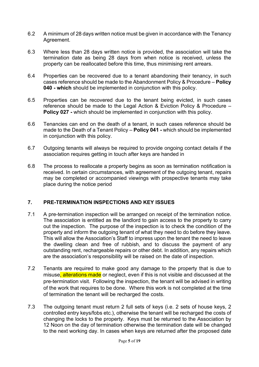- 6.2 A minimum of 28 days written notice must be given in accordance with the Tenancy Agreement.
- 6.3 Where less than 28 days written notice is provided, the association will take the termination date as being 28 days from when notice is received, unless the property can be reallocated before this time, thus minimising rent arrears.
- 6.4 Properties can be recovered due to a tenant abandoning their tenancy, in such cases reference should be made to the Abandonment Policy & Procedure – Policy 040 - which should be implemented in conjunction with this policy.
- 6.5 Properties can be recovered due to the tenant being evicted, in such cases reference should be made to the Legal Action & Eviction Policy & Procedure – Policy 027 - which should be implemented in conjunction with this policy.
- 6.6 Tenancies can end on the death of a tenant, in such cases reference should be made to the Death of a Tenant Policy – **Policy 041** - which should be implemented in conjunction with this policy.
- 6.7 Outgoing tenants will always be required to provide ongoing contact details if the association requires getting in touch after keys are handed in
- 6.8 The process to reallocate a property begins as soon as termination notification is received. In certain circumstances, with agreement of the outgoing tenant, repairs may be completed or accompanied viewings with prospective tenants may take place during the notice period

#### 7. PRE-TERMINATION INSPECTIONS AND KEY ISSUES

- 7.1 A pre-termination inspection will be arranged on receipt of the termination notice. The association is entitled as the landlord to gain access to the property to carry out the inspection. The purpose of the inspection is to check the condition of the property and inform the outgoing tenant of what they need to do before they leave. This will allow the Association's Staff to impress upon the tenant the need to leave the dwelling clean and free of rubbish, and to discuss the payment of any outstanding rent, rechargeable repairs or other debt. In addition, any repairs which are the association's responsibility will be raised on the date of inspection.
- 7.2 Tenants are required to make good any damage to the property that is due to misuse, alterations made or neglect, even if this is not visible and discussed at the pre-termination visit. Following the inspection, the tenant will be advised in writing of the work that requires to be done. Where this work is not completed at the time of termination the tenant will be recharged the costs.
- 7.3 The outgoing tenant must return 2 full sets of keys (i.e. 2 sets of house keys, 2 controlled entry keys/fobs etc.), otherwise the tenant will be recharged the costs of changing the locks to the property. Keys must be returned to the Association by 12 Noon on the day of termination otherwise the termination date will be changed to the next working day. In cases when keys are returned after the proposed date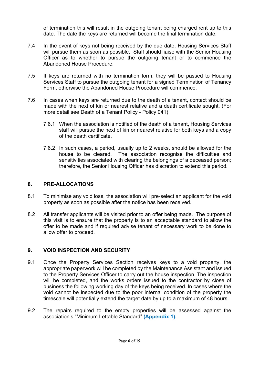of termination this will result in the outgoing tenant being charged rent up to this date. The date the keys are returned will become the final termination date.

- 7.4 In the event of keys not being received by the due date, Housing Services Staff will pursue them as soon as possible. Staff should liaise with the Senior Housing Officer as to whether to pursue the outgoing tenant or to commence the Abandoned House Procedure.
- 7.5 If keys are returned with no termination form, they will be passed to Housing Services Staff to pursue the outgoing tenant for a signed Termination of Tenancy Form, otherwise the Abandoned House Procedure will commence.
- 7.6 In cases when keys are returned due to the death of a tenant, contact should be made with the next of kin or nearest relative and a death certificate sought. (For more detail see Death of a Tenant Policy - Policy 041)
	- 7.6.1 When the association is notified of the death of a tenant, Housing Services staff will pursue the next of kin or nearest relative for both keys and a copy of the death certificate.
	- 7.6.2 In such cases, a period, usually up to 2 weeks, should be allowed for the house to be cleared. The association recognise the difficulties and sensitivities associated with clearing the belongings of a deceased person; therefore, the Senior Housing Officer has discretion to extend this period.

#### 8. PRE-ALLOCATIONS

- 8.1 To minimise any void loss, the association will pre-select an applicant for the void property as soon as possible after the notice has been received.
- 8.2 All transfer applicants will be visited prior to an offer being made. The purpose of this visit is to ensure that the property is to an acceptable standard to allow the offer to be made and if required advise tenant of necessary work to be done to allow offer to proceed.

#### 9. VOID INSPECTION AND SECURITY

- 9.1 Once the Property Services Section receives keys to a void property, the appropriate paperwork will be completed by the Maintenance Assistant and issued to the Property Services Officer to carry out the house inspection. The inspection will be completed, and the works orders issued to the contractor by close of business the following working day of the keys being received. In cases where the void cannot be inspected due to the poor internal condition of the property the timescale will potentially extend the target date by up to a maximum of 48 hours.
- 9.2 The repairs required to the empty properties will be assessed against the association's "Minimum Lettable Standard" (Appendix 1).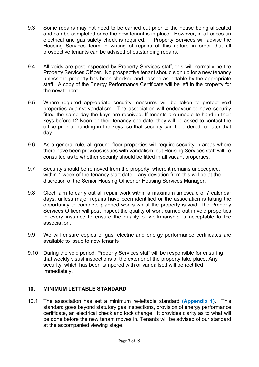- 9.3 Some repairs may not need to be carried out prior to the house being allocated and can be completed once the new tenant is in place. However, in all cases an electrical and gas safety check is required. Property Services will advise the Housing Services team in writing of repairs of this nature in order that all prospective tenants can be advised of outstanding repairs.
- 9.4 All voids are post-inspected by Property Services staff, this will normally be the Property Services Officer. No prospective tenant should sign up for a new tenancy unless the property has been checked and passed as lettable by the appropriate staff. A copy of the Energy Performance Certificate will be left in the property for the new tenant.
- 9.5 Where required appropriate security measures will be taken to protect void properties against vandalism. The association will endeavour to have security fitted the same day the keys are received. If tenants are unable to hand in their keys before 12 Noon on their tenancy end date, they will be asked to contact the office prior to handing in the keys, so that security can be ordered for later that day.
- 9.6 As a general rule, all ground-floor properties will require security in areas where there have been previous issues with vandalism, but Housing Services staff will be consulted as to whether security should be fitted in all vacant properties.
- 9.7 Security should be removed from the property, where it remains unoccupied, within 1 week of the tenancy start date – any deviation from this will be at the discretion of the Senior Housing Officer or Housing Services Manager.
- 9.8 Cloch aim to carry out all repair work within a maximum timescale of 7 calendar days, unless major repairs have been identified or the association is taking the opportunity to complete planned works whilst the property is void. The Property Services Officer will post inspect the quality of work carried out in void properties in every instance to ensure the quality of workmanship is acceptable to the association.
- 9.9 We will ensure copies of gas, electric and energy performance certificates are available to issue to new tenants
- 9.10 During the void period, Property Services staff will be responsible for ensuring that weekly visual inspections of the exterior of the property take place. Any security, which has been tampered with or vandalised will be rectified immediately.

#### 10. MINIMUM LETTABLE STANDARD

10.1 The association has set a minimum re-lettable standard (Appendix 1). This standard goes beyond statutory gas inspections, provision of energy performance certificate, an electrical check and lock change. It provides clarity as to what will be done before the new tenant moves in. Tenants will be advised of our standard at the accompanied viewing stage.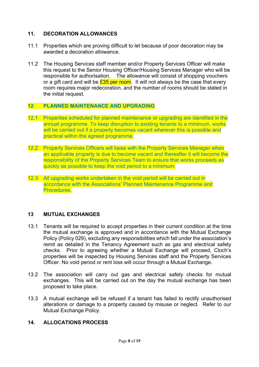#### 11. DECORATION ALLOWANCES

- 11.1 Properties which are proving difficult to let because of poor decoration may be awarded a decoration allowance.
- 11.2 The Housing Services staff member and/or Property Services Officer will make this request to the Senior Housing Officer/Housing Services Manager who will be responsible for authorisation. The allowance will consist of shopping vouchers or a gift card and will be  $£35$  per room. It will not always be the case that every room requires major redecoration, and the number of rooms should be stated in the initial request.

#### 12 PLANNED MAINTENANCE AND UPGRADING

- 12.1 Properties scheduled for planned maintenance or upgrading are identified in the annual programme. To keep disruption to existing tenants to a minimum, works will be carried out if a property becomes vacant wherever this is possible and practical within the agreed programme.
- 12.2 Property Services Officers will liaise with the Property Services Manager when an applicable property is due to become vacant and thereafter it will become the responsibility of the Property Services Team to ensure that works proceeds as quickly as possible to keep the void period to a minimum.
- 12.3 All upgrading works undertaken in the void period will be carried out in accordance with the Associations' Planned Maintenance Programme and Procedures.

#### 13 MUTUAL EXCHANGES

- 13.1 Tenants will be required to accept properties in their current condition at the time the mutual exchange is approved and in accordance with the Mutual Exchange Policy (Policy 029), excluding any responsibilities which fall under the association's remit as detailed in the Tenancy Agreement such as gas and electrical safety checks. Prior to agreeing whether a Mutual Exchange will proceed, Cloch's properties will be inspected by Housing Services staff and the Property Services Officer. No void period or rent loss will occur through a Mutual Exchange.
- 13.2 The association will carry out gas and electrical safety checks for mutual exchanges. This will be carried out on the day the mutual exchange has been proposed to take place.
- 13.3 A mutual exchange will be refused if a tenant has failed to rectify unauthorised alterations or damage to a property caused by misuse or neglect. Refer to our Mutual Exchange Policy.

#### 14. ALLOCATIONS PROCESS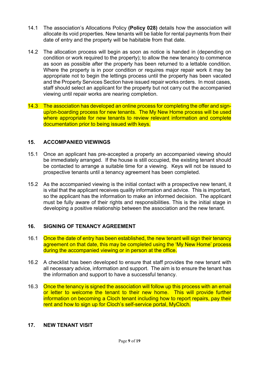- 14.1 The association's Allocations Policy (Policy 028) details how the association will allocate its void properties. New tenants will be liable for rental payments from their date of entry and the property will be habitable from that date.
- 14.2 The allocation process will begin as soon as notice is handed in (depending on condition or work required to the property); to allow the new tenancy to commence as soon as possible after the property has been returned to a lettable condition. Where the property is in poor condition or requires major repair work it may be appropriate not to begin the lettings process until the property has been vacated and the Property Services Section have issued repair works orders. In most cases, staff should select an applicant for the property but not carry out the accompanied viewing until repair works are nearing completion.
- 14.3 The association has developed an online process for completing the offer and signup/on-boarding process for new tenants. The My New Home process will be used where appropriate for new tenants to review relevant information and complete documentation prior to being issued with keys.

#### 15. ACCOMPANIED VIEWINGS

- 15.1 Once an applicant has pre-accepted a property an accompanied viewing should be immediately arranged. If the house is still occupied, the existing tenant should be contacted to arrange a suitable time for a viewing. Keys will not be issued to prospective tenants until a tenancy agreement has been completed.
- 15.2 As the accompanied viewing is the initial contact with a prospective new tenant, it is vital that the applicant receives quality information and advice. This is important, so the applicant has the information to make an informed decision. The applicant must be fully aware of their rights and responsibilities. This is the initial stage in developing a positive relationship between the association and the new tenant.

#### 16. SIGNING OF TENANCY AGREEMENT

- 16.1 Once the date of entry has been established, the new tenant will sign their tenancy agreement on that date, this may be completed using the 'My New Home' process during the accompanied viewing or in person at the office.
- 16.2 A checklist has been developed to ensure that staff provides the new tenant with all necessary advice, information and support. The aim is to ensure the tenant has the information and support to have a successful tenancy.
- 16.3 Once the tenancy is signed the association will follow up this process with an email or letter to welcome the tenant to their new home. This will provide further information on becoming a Cloch tenant including how to report repairs, pay their rent and how to sign up for Cloch's self-service portal, MyCloch.

#### 17. NEW TENANT VISIT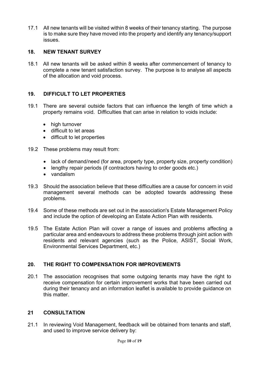17.1 All new tenants will be visited within 8 weeks of their tenancy starting. The purpose is to make sure they have moved into the property and identify any tenancy/support issues.

#### 18. NEW TENANT SURVEY

18.1 All new tenants will be asked within 8 weeks after commencement of tenancy to complete a new tenant satisfaction survey. The purpose is to analyse all aspects of the allocation and void process.

#### 19. DIFFICULT TO LET PROPERTIES

- 19.1 There are several outside factors that can influence the length of time which a property remains void. Difficulties that can arise in relation to voids include:
	- high turnover
	- difficult to let areas
	- difficult to let properties
- 19.2 These problems may result from:
	- lack of demand/need (for area, property type, property size, property condition)
	- lengthy repair periods (if contractors having to order goods etc.)
	- vandalism
- 19.3 Should the association believe that these difficulties are a cause for concern in void management several methods can be adopted towards addressing these problems.
- 19.4 Some of these methods are set out in the association's Estate Management Policy and include the option of developing an Estate Action Plan with residents.
- 19.5 The Estate Action Plan will cover a range of issues and problems affecting a particular area and endeavours to address these problems through joint action with residents and relevant agencies (such as the Police, ASIST, Social Work, Environmental Services Department, etc.)

#### 20. THE RIGHT TO COMPENSATION FOR IMPROVEMENTS

20.1 The association recognises that some outgoing tenants may have the right to receive compensation for certain improvement works that have been carried out during their tenancy and an information leaflet is available to provide guidance on this matter.

#### 21 CONSULTATION

21.1 In reviewing Void Management, feedback will be obtained from tenants and staff, and used to improve service delivery by: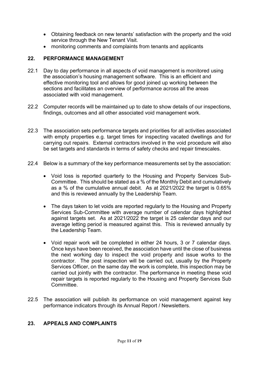- Obtaining feedback on new tenants' satisfaction with the property and the void service through the New Tenant Visit.
- monitoring comments and complaints from tenants and applicants

#### 22. PERFORMANCE MANAGEMENT

- 22.1 Day to day performance in all aspects of void management is monitored using the association's housing management software. This is an efficient and effective monitoring tool and allows for good joined up working between the sections and facilitates an overview of performance across all the areas associated with void management.
- 22.2 Computer records will be maintained up to date to show details of our inspections, findings, outcomes and all other associated void management work.
- 22.3 The association sets performance targets and priorities for all activities associated with empty properties e.g. target times for inspecting vacated dwellings and for carrying out repairs. External contractors involved in the void procedure will also be set targets and standards in terms of safety checks and repair timescales.
- 22.4 Below is a summary of the key performance measurements set by the association:
	- Void loss is reported quarterly to the Housing and Property Services Sub-Committee. This should be stated as a % of the Monthly Debit and cumulatively as a % of the cumulative annual debit. As at 2021/2022 the target is 0.65% and this is reviewed annually by the Leadership Team.
	- The days taken to let voids are reported regularly to the Housing and Property Services Sub-Committee with average number of calendar days highlighted against targets set. As at 2021/2022 the target is 25 calendar days and our average letting period is measured against this. This is reviewed annually by the Leadership Team.
	- Void repair work will be completed in either 24 hours, 3 or 7 calendar days. Once keys have been received, the association have until the close of business the next working day to inspect the void property and issue works to the contractor. The post inspection will be carried out, usually by the Property Services Officer, on the same day the work is complete, this inspection may be carried out jointly with the contractor. The performance in meeting these void repair targets is reported regularly to the Housing and Property Services Sub Committee.
- 22.5 The association will publish its performance on void management against key performance indicators through its Annual Report / Newsletters.

#### 23. APPEALS AND COMPLAINTS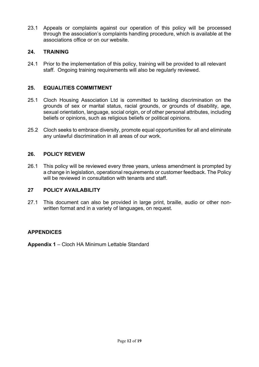23.1 Appeals or complaints against our operation of this policy will be processed through the association's complaints handling procedure, which is available at the associations office or on our website.

#### 24. TRAINING

24.1 Prior to the implementation of this policy, training will be provided to all relevant staff. Ongoing training requirements will also be regularly reviewed.

#### 25. EQUALITIES COMMITMENT

- 25.1 Cloch Housing Association Ltd is committed to tackling discrimination on the grounds of sex or marital status, racial grounds, or grounds of disability, age, sexual orientation, language, social origin, or of other personal attributes, including beliefs or opinions, such as religious beliefs or political opinions.
- 25.2 Cloch seeks to embrace diversity, promote equal opportunities for all and eliminate any unlawful discrimination in all areas of our work.

#### 26. POLICY REVIEW

26.1 This policy will be reviewed every three years, unless amendment is prompted by a change in legislation, operational requirements or customer feedback. The Policy will be reviewed in consultation with tenants and staff.

#### 27 POLICY AVAILABILITY

27.1 This document can also be provided in large print, braille, audio or other nonwritten format and in a variety of languages, on request.

#### **APPENDICES**

Appendix 1 – Cloch HA Minimum Lettable Standard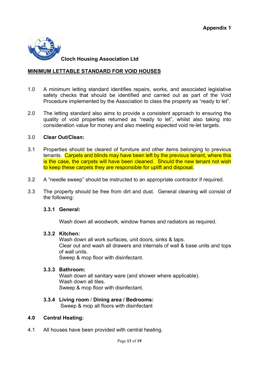

Cloch Housing Association Ltd

#### MINIMUM LETTABLE STANDARD FOR VOID HOUSES

- 1.0 A minimum letting standard identifies repairs, works, and associated legislative safety checks that should be identified and carried out as part of the Void Procedure implemented by the Association to class the property as "ready to let".
- 2.0 The letting standard also aims to provide a consistent approach to ensuring the quality of void properties returned as "ready to let", whilst also taking into consideration value for money and also meeting expected void re-let targets.

#### 3.0 Clear Out/Clean:

- 3.1 Properties should be cleared of furniture and other items belonging to previous tenants. Carpets and blinds may have been left by the previous tenant, where this is the case, the carpets will have been cleaned. Should the new tenant not wish to keep these carpets they are responsible for uplift and disposal.
- 3.2 A "needle sweep" should be instructed to an appropriate contractor if required.
- 3.3 The property should be free from dirt and dust. General cleaning will consist of the following:

#### 3.3.1 General:

Wash down all woodwork, window frames and radiators as required.

#### 3.3.2 Kitchen:

Wash down all work surfaces, unit doors, sinks & taps. Clear out and wash all drawers and internals of wall & base units and tops of wall units. Sweep & mop floor with disinfectant.

#### 3.3.3 Bathroom:

Wash down all sanitary ware (and shower where applicable). Wash down all tiles. Sweep & mop floor with disinfectant.

#### 3.3.4 Living room / Dining area / Bedrooms:

Sweep & mop all floors with disinfectant

#### 4.0 Central Heating:

4.1 All houses have been provided with central heating.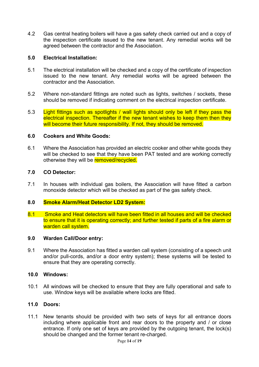4.2 Gas central heating boilers will have a gas safety check carried out and a copy of the inspection certificate issued to the new tenant. Any remedial works will be agreed between the contractor and the Association.

#### 5.0 Electrical Installation:

- 5.1 The electrical installation will be checked and a copy of the certificate of inspection issued to the new tenant. Any remedial works will be agreed between the contractor and the Association.
- 5.2 Where non-standard fittings are noted such as lights, switches / sockets, these should be removed if indicating comment on the electrical inspection certificate.
- 5.3 Light fittings such as spotlights / wall lights should only be left if they pass the electrical inspection. Thereafter if the new tenant wishes to keep them then they will become their future responsibility. If not, they should be removed.

#### 6.0 Cookers and White Goods:

6.1 Where the Association has provided an electric cooker and other white goods they will be checked to see that they have been PAT tested and are working correctly otherwise they will be **removed/recycled.** 

#### 7.0 CO Detector:

7.1 In houses with individual gas boilers, the Association will have fitted a carbon monoxide detector which will be checked as part of the gas safety check.

#### 8.0 Smoke Alarm/Heat Detector LD2 System:

8.1 Smoke and Heat detectors will have been fitted in all houses and will be checked to ensure that it is operating correctly; and further tested if parts of a fire alarm or warden call system.

#### 9.0 Warden Call/Door entry:

9.1 Where the Association has fitted a warden call system (consisting of a speech unit and/or pull-cords, and/or a door entry system); these systems will be tested to ensure that they are operating correctly.

#### 10.0 Windows:

10.1 All windows will be checked to ensure that they are fully operational and safe to use. Window keys will be available where locks are fitted.

#### 11.0 Doors:

11.1 New tenants should be provided with two sets of keys for all entrance doors including where applicable front and rear doors to the property and / or close entrance. If only one set of keys are provided by the outgoing tenant, the lock(s) should be changed and the former tenant re-charged.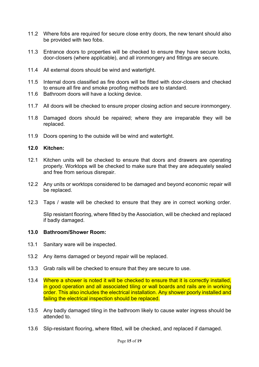- 11.2 Where fobs are required for secure close entry doors, the new tenant should also be provided with two fobs.
- 11.3 Entrance doors to properties will be checked to ensure they have secure locks, door-closers (where applicable), and all ironmongery and fittings are secure.
- 11.4 All external doors should be wind and watertight.
- 11.5 Internal doors classified as fire doors will be fitted with door-closers and checked to ensure all fire and smoke proofing methods are to standard.
- 11.6 Bathroom doors will have a locking device.
- 11.7 All doors will be checked to ensure proper closing action and secure ironmongery.
- 11.8 Damaged doors should be repaired; where they are irreparable they will be replaced.
- 11.9 Doors opening to the outside will be wind and watertight.

#### 12.0 Kitchen:

- 12.1 Kitchen units will be checked to ensure that doors and drawers are operating properly. Worktops will be checked to make sure that they are adequately sealed and free from serious disrepair.
- 12.2 Any units or worktops considered to be damaged and beyond economic repair will be replaced.
- 12.3 Taps / waste will be checked to ensure that they are in correct working order.

Slip resistant flooring, where fitted by the Association, will be checked and replaced if badly damaged.

#### 13.0 Bathroom/Shower Room:

- 13.1 Sanitary ware will be inspected.
- 13.2 Any items damaged or beyond repair will be replaced.
- 13.3 Grab rails will be checked to ensure that they are secure to use.
- 13.4 Where a shower is noted it will be checked to ensure that it is correctly installed, in good operation and all associated tiling or wall boards and rails are in working order. This also includes the electrical installation. Any shower poorly installed and failing the electrical inspection should be replaced.
- 13.5 Any badly damaged tiling in the bathroom likely to cause water ingress should be attended to.
- 13.6 Slip-resistant flooring, where fitted, will be checked, and replaced if damaged.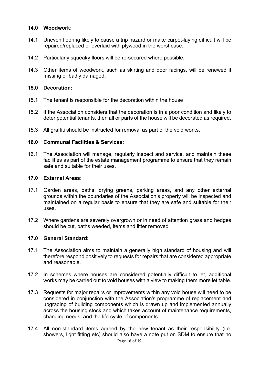#### 14.0 Woodwork:

- 14.1 Uneven flooring likely to cause a trip hazard or make carpet-laying difficult will be repaired/replaced or overlaid with plywood in the worst case.
- 14.2 Particularly squeaky floors will be re-secured where possible.
- 14.3 Other items of woodwork, such as skirting and door facings, will be renewed if missing or badly damaged.

#### 15.0 Decoration:

- 15.1 The tenant is responsible for the decoration within the house
- 15.2 If the Association considers that the decoration is in a poor condition and likely to deter potential tenants, then all or parts of the house will be decorated as required.
- 15.3 All graffiti should be instructed for removal as part of the void works.

#### 16.0 Communal Facilities & Services:

16.1 The Association will manage, regularly inspect and service, and maintain these facilities as part of the estate management programme to ensure that they remain safe and suitable for their uses.

#### 17.0 External Areas:

- 17.1 Garden areas, paths, drying greens, parking areas, and any other external grounds within the boundaries of the Association's property will be inspected and maintained on a regular basis to ensure that they are safe and suitable for their uses.
- 17.2 Where gardens are severely overgrown or in need of attention grass and hedges should be cut, paths weeded, items and litter removed

#### 17.0 General Standard:

- 17.1 The Association aims to maintain a generally high standard of housing and will therefore respond positively to requests for repairs that are considered appropriate and reasonable.
- 17.2 In schemes where houses are considered potentially difficult to let, additional works may be carried out to void houses with a view to making them more let table.
- 17.3 Requests for major repairs or improvements within any void house will need to be considered in conjunction with the Association's programme of replacement and upgrading of building components which is drawn up and implemented annually across the housing stock and which takes account of maintenance requirements, changing needs, and the life cycle of components.
- 17.4 All non-standard items agreed by the new tenant as their responsibility (i.e. showers, light fitting etc) should also have a note put on SDM to ensure that no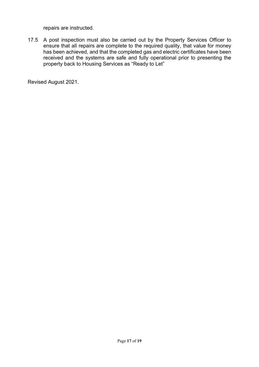repairs are instructed.

17.5 A post inspection must also be carried out by the Property Services Officer to ensure that all repairs are complete to the required quality, that value for money has been achieved, and that the completed gas and electric certificates have been received and the systems are safe and fully operational prior to presenting the property back to Housing Services as "Ready to Let"

Revised August 2021.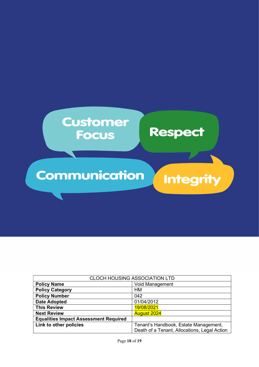

| <b>CLOCH HOUSING ASSOCIATION LTD</b>         |                                              |
|----------------------------------------------|----------------------------------------------|
| <b>Policy Name</b>                           | <b>Void Management</b>                       |
| <b>Policy Category</b>                       | <b>HM</b>                                    |
| <b>Policy Number</b>                         | 042                                          |
| <b>Date Adopted</b>                          | 01/04/2012                                   |
| <b>This Review</b>                           | 19/08/2021                                   |
| <b>Next Review</b>                           | <b>August 2024</b>                           |
| <b>Equalities Impact Assessment Required</b> |                                              |
| Link to other policies                       | Tenant's Handbook, Estate Management,        |
|                                              | Death of a Tenant, Allocations, Legal Action |